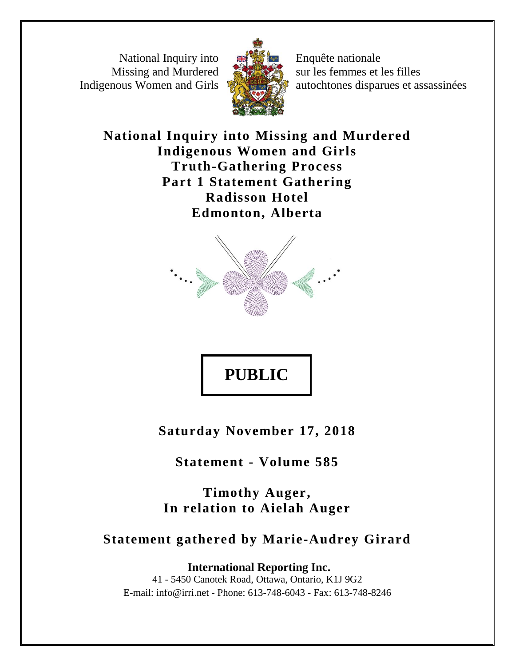National Inquiry into Missing and Murdered Indigenous Women and Girls



Enquête nationale sur les femmes et les filles autochtones disparues et assassinées

**National Inquiry into Missing and Murdered Indigenous Women and Girls Truth-Gathering Process Part 1 Statement Gathering Radisson Hotel Edmonton, Alberta**



# **PUBLIC**

**Saturday November 17, 2018**

**Statement - Volume 585**

**Timothy Auger, In relation to Aielah Auger**

# **Statement gathered by Marie-Audrey Girard**

**International Reporting Inc.** 41 - 5450 Canotek Road, Ottawa, Ontario, K1J 9G2 E-mail: info@irri.net - Phone: 613-748-6043 - Fax: 613-748-8246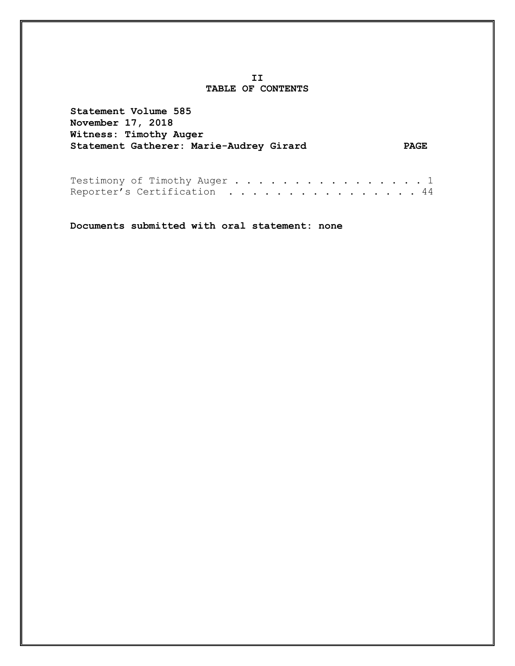#### **II TABLE OF CONTENTS**

**Statement Volume 585 November 17, 2018 Witness: Timothy Auger Statement Gatherer: Marie-Audrey Girard PAGE**

Testimony of Timothy Auger . . . . . . . . . . . . . . . 1 Reporter's Certification . . . . . . . . . . . . . . . 44

**Documents submitted with oral statement: none**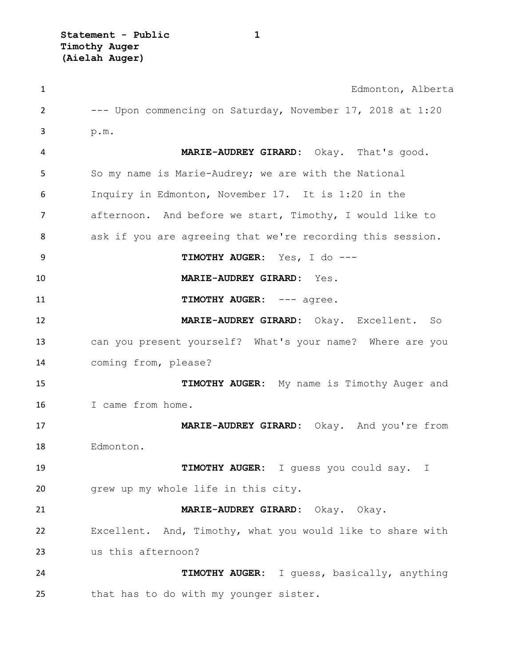| $\mathbf{1}$ | Edmonton, Alberta                                          |
|--------------|------------------------------------------------------------|
| 2            | --- Upon commencing on Saturday, November 17, 2018 at 1:20 |
| 3            | p.m.                                                       |
| 4            | MARIE-AUDREY GIRARD: Okay. That's good.                    |
| 5            | So my name is Marie-Audrey; we are with the National       |
| 6            | Inquiry in Edmonton, November 17. It is 1:20 in the        |
| 7            | afternoon. And before we start, Timothy, I would like to   |
| 8            | ask if you are agreeing that we're recording this session. |
| 9            | TIMOTHY AUGER: Yes, I do ---                               |
| 10           | MARIE-AUDREY GIRARD: Yes.                                  |
| 11           | TIMOTHY AUGER: --- agree.                                  |
| 12           | MARIE-AUDREY GIRARD: Okay. Excellent. So                   |
| 13           | can you present yourself? What's your name? Where are you  |
| 14           | coming from, please?                                       |
| 15           | TIMOTHY AUGER: My name is Timothy Auger and                |
| 16           | I came from home.                                          |
| 17           | MARIE-AUDREY GIRARD: Okay. And you're from                 |
| 18           | Edmonton.                                                  |
| 19           | TIMOTHY AUGER: I quess you could say. I                    |
| 20           | grew up my whole life in this city.                        |
| 21           | MARIE-AUDREY GIRARD: Okay. Okay.                           |
| 22           | Excellent. And, Timothy, what you would like to share with |
| 23           | us this afternoon?                                         |
| 24           | TIMOTHY AUGER: I guess, basically, anything                |
| 25           | that has to do with my younger sister.                     |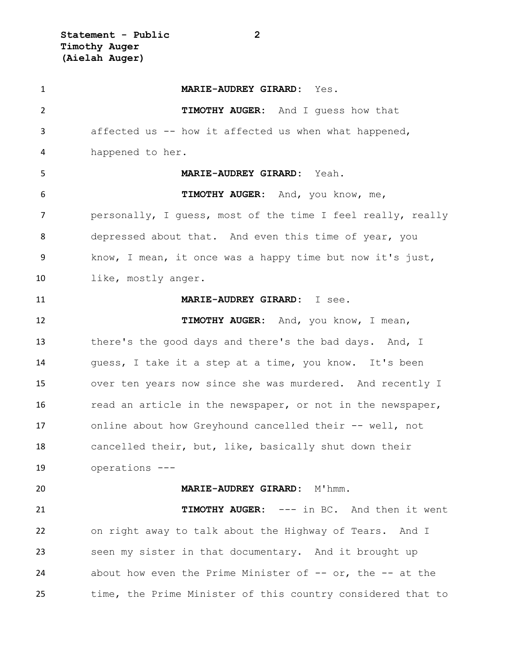**Statement - Public 2 Timothy Auger (Aielah Auger)**

 **MARIE-AUDREY GIRARD:** Yes. **TIMOTHY AUGER:** And I guess how that affected us -- how it affected us when what happened, happened to her. **MARIE-AUDREY GIRARD:** Yeah. **TIMOTHY AUGER:** And, you know, me, personally, I guess, most of the time I feel really, really depressed about that. And even this time of year, you know, I mean, it once was a happy time but now it's just, like, mostly anger. **MARIE-AUDREY GIRARD:** I see. **TIMOTHY AUGER:** And, you know, I mean, 13 there's the good days and there's the bad days. And, I guess, I take it a step at a time, you know. It's been over ten years now since she was murdered. And recently I 16 read an article in the newspaper, or not in the newspaper, online about how Greyhound cancelled their -- well, not cancelled their, but, like, basically shut down their operations --- **MARIE-AUDREY GIRARD:** M'hmm. **TIMOTHY AUGER:** --- in BC. And then it went on right away to talk about the Highway of Tears. And I seen my sister in that documentary. And it brought up 24 about how even the Prime Minister of -- or, the -- at the time, the Prime Minister of this country considered that to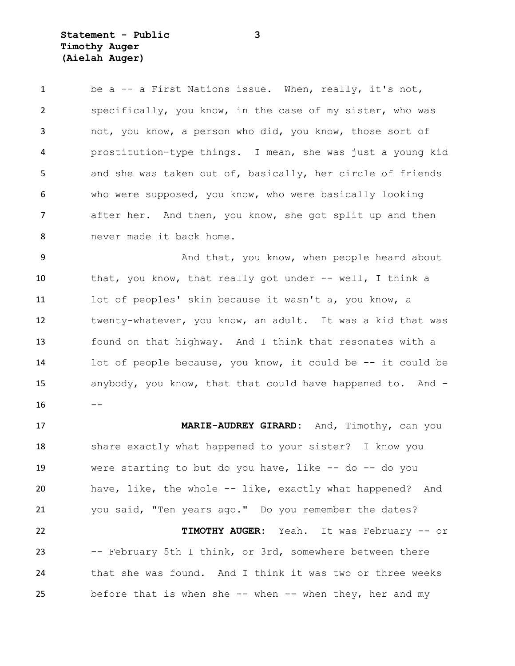**Statement - Public 3 Timothy Auger (Aielah Auger)**

1 be a -- a First Nations issue. When, really, it's not, specifically, you know, in the case of my sister, who was not, you know, a person who did, you know, those sort of prostitution-type things. I mean, she was just a young kid and she was taken out of, basically, her circle of friends who were supposed, you know, who were basically looking after her. And then, you know, she got split up and then never made it back home.

9 And that, you know, when people heard about that, you know, that really got under -- well, I think a lot of peoples' skin because it wasn't a, you know, a twenty-whatever, you know, an adult. It was a kid that was found on that highway. And I think that resonates with a lot of people because, you know, it could be -- it could be anybody, you know, that that could have happened to. And - 

 **MARIE-AUDREY GIRARD:** And, Timothy, can you share exactly what happened to your sister? I know you were starting to but do you have, like -- do -- do you have, like, the whole -- like, exactly what happened? And you said, "Ten years ago." Do you remember the dates? **TIMOTHY AUGER:** Yeah. It was February -- or -- February 5th I think, or 3rd, somewhere between there that she was found. And I think it was two or three weeks 25 before that is when she -- when -- when they, her and my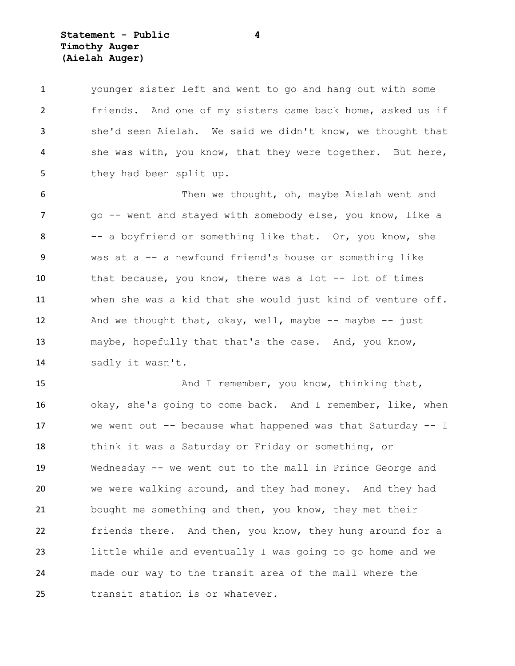**Statement - Public 4 Timothy Auger (Aielah Auger)**

 younger sister left and went to go and hang out with some friends. And one of my sisters came back home, asked us if she'd seen Aielah. We said we didn't know, we thought that she was with, you know, that they were together. But here, 5 they had been split up.

 Then we thought, oh, maybe Aielah went and 7 go -- went and stayed with somebody else, you know, like a 8 -- a boyfriend or something like that. Or, you know, she was at a -- a newfound friend's house or something like that because, you know, there was a lot -- lot of times when she was a kid that she would just kind of venture off. 12 And we thought that, okay, well, maybe -- maybe -- just maybe, hopefully that that's the case. And, you know, sadly it wasn't.

15 And I remember, you know, thinking that, okay, she's going to come back. And I remember, like, when we went out -- because what happened was that Saturday -- I think it was a Saturday or Friday or something, or Wednesday -- we went out to the mall in Prince George and we were walking around, and they had money. And they had bought me something and then, you know, they met their friends there. And then, you know, they hung around for a little while and eventually I was going to go home and we made our way to the transit area of the mall where the transit station is or whatever.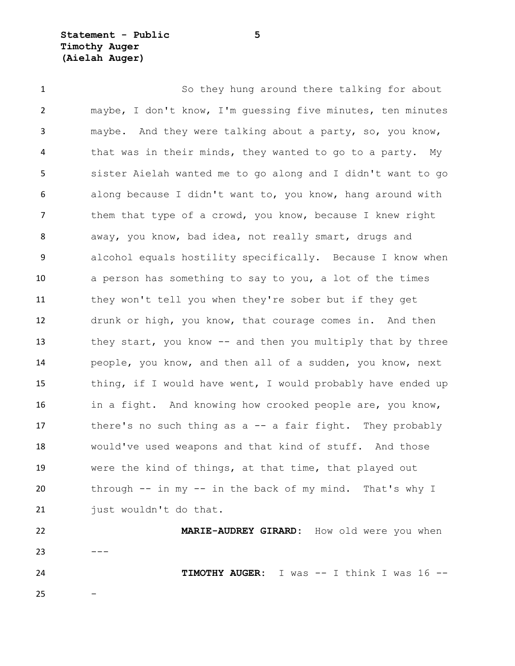**Statement - Public 5 Timothy Auger (Aielah Auger)**

 So they hung around there talking for about maybe, I don't know, I'm guessing five minutes, ten minutes maybe. And they were talking about a party, so, you know, that was in their minds, they wanted to go to a party. My sister Aielah wanted me to go along and I didn't want to go along because I didn't want to, you know, hang around with them that type of a crowd, you know, because I knew right away, you know, bad idea, not really smart, drugs and alcohol equals hostility specifically. Because I know when a person has something to say to you, a lot of the times they won't tell you when they're sober but if they get drunk or high, you know, that courage comes in. And then 13 they start, you know -- and then you multiply that by three people, you know, and then all of a sudden, you know, next 15 thing, if I would have went, I would probably have ended up in a fight. And knowing how crooked people are, you know, there's no such thing as a -- a fair fight. They probably would've used weapons and that kind of stuff. And those were the kind of things, at that time, that played out through -- in my -- in the back of my mind. That's why I 21 just wouldn't do that.

 **MARIE-AUDREY GIRARD:** How old were you when  $23 -$ **TIMOTHY AUGER:** I was -- I think I was 16 --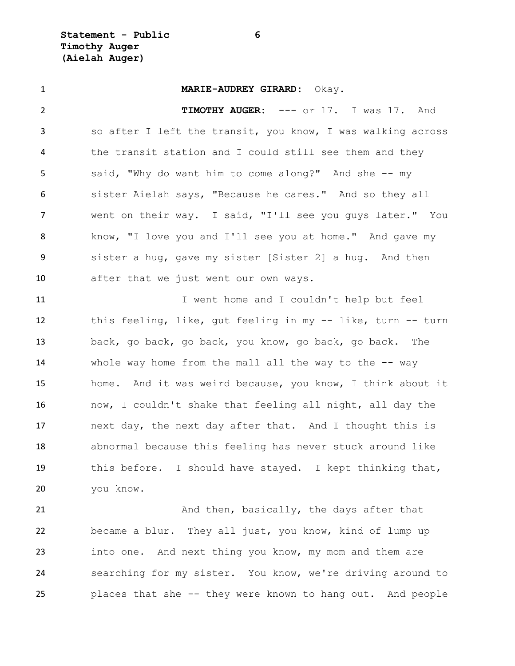**Statement - Public 6 Timothy Auger (Aielah Auger)**

 **MARIE-AUDREY GIRARD:** Okay. **TIMOTHY AUGER:** --- or 17. I was 17. And so after I left the transit, you know, I was walking across the transit station and I could still see them and they said, "Why do want him to come along?" And she -- my sister Aielah says, "Because he cares." And so they all went on their way. I said, "I'll see you guys later." You know, "I love you and I'll see you at home." And gave my sister a hug, gave my sister [Sister 2] a hug. And then after that we just went our own ways. 11 11 I went home and I couldn't help but feel this feeling, like, gut feeling in my -- like, turn -- turn back, go back, go back, you know, go back, go back. The 14 whole way home from the mall all the way to the -- way home. And it was weird because, you know, I think about it now, I couldn't shake that feeling all night, all day the next day, the next day after that. And I thought this is abnormal because this feeling has never stuck around like this before. I should have stayed. I kept thinking that, you know.

21 And then, basically, the days after that became a blur. They all just, you know, kind of lump up into one. And next thing you know, my mom and them are searching for my sister. You know, we're driving around to places that she -- they were known to hang out. And people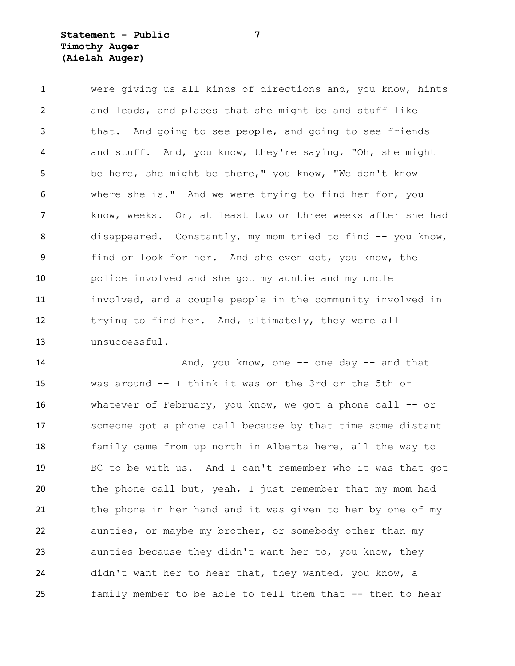# **Statement - Public 7 Timothy Auger (Aielah Auger)**

 were giving us all kinds of directions and, you know, hints and leads, and places that she might be and stuff like that. And going to see people, and going to see friends and stuff. And, you know, they're saying, "Oh, she might be here, she might be there," you know, "We don't know where she is." And we were trying to find her for, you know, weeks. Or, at least two or three weeks after she had 8 disappeared. Constantly, my mom tried to find -- you know, find or look for her. And she even got, you know, the police involved and she got my auntie and my uncle involved, and a couple people in the community involved in trying to find her. And, ultimately, they were all unsuccessful.

14 And, you know, one -- one day -- and that was around -- I think it was on the 3rd or the 5th or whatever of February, you know, we got a phone call -- or someone got a phone call because by that time some distant family came from up north in Alberta here, all the way to BC to be with us. And I can't remember who it was that got the phone call but, yeah, I just remember that my mom had the phone in her hand and it was given to her by one of my aunties, or maybe my brother, or somebody other than my aunties because they didn't want her to, you know, they didn't want her to hear that, they wanted, you know, a family member to be able to tell them that -- then to hear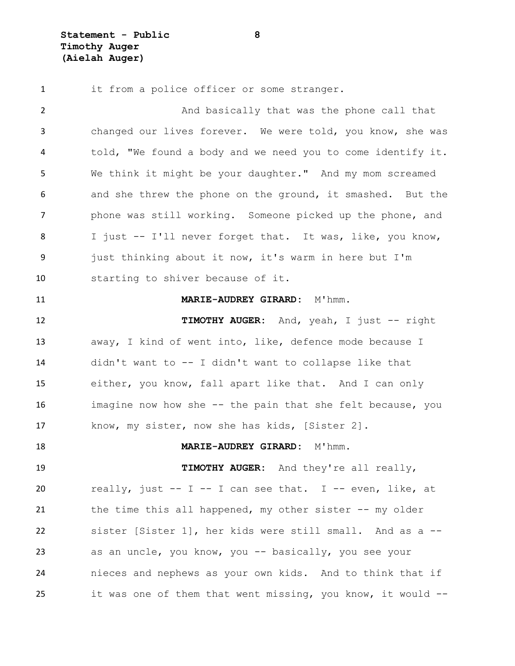1 it from a police officer or some stranger. 2 And basically that was the phone call that changed our lives forever. We were told, you know, she was told, "We found a body and we need you to come identify it. We think it might be your daughter." And my mom screamed and she threw the phone on the ground, it smashed. But the phone was still working. Someone picked up the phone, and I just -- I'll never forget that. It was, like, you know, just thinking about it now, it's warm in here but I'm starting to shiver because of it. **MARIE-AUDREY GIRARD:** M'hmm. **TIMOTHY AUGER:** And, yeah, I just -- right away, I kind of went into, like, defence mode because I didn't want to -- I didn't want to collapse like that either, you know, fall apart like that. And I can only imagine now how she -- the pain that she felt because, you know, my sister, now she has kids, [Sister 2]. **MARIE-AUDREY GIRARD:** M'hmm. **TIMOTHY AUGER:** And they're all really, 20 really, just  $-$  I  $-$  I can see that. I  $-$  even, like, at the time this all happened, my other sister -- my older sister [Sister 1], her kids were still small. And as a -- as an uncle, you know, you -- basically, you see your nieces and nephews as your own kids. And to think that if it was one of them that went missing, you know, it would --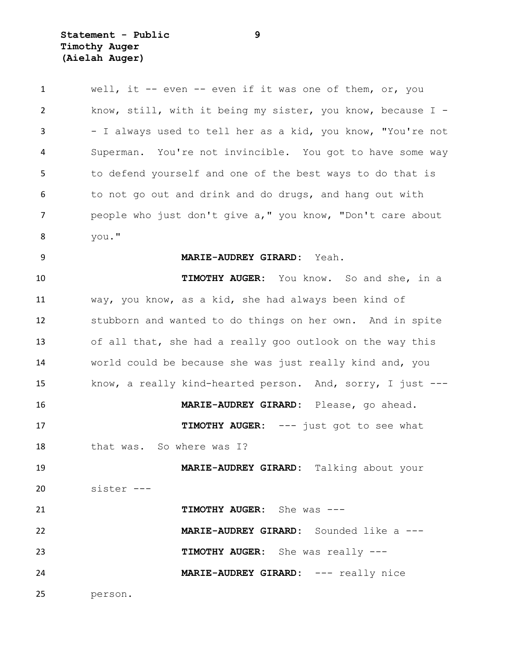| $\mathbf{1}$ | well, it -- even -- even if it was one of them, or, you     |
|--------------|-------------------------------------------------------------|
| 2            | know, still, with it being my sister, you know, because I - |
| 3            | - I always used to tell her as a kid, you know, "You're not |
| 4            | Superman. You're not invincible. You got to have some way   |
| 5            | to defend yourself and one of the best ways to do that is   |
| 6            | to not go out and drink and do drugs, and hang out with     |
| 7            | people who just don't give a," you know, "Don't care about  |
| 8            | you."                                                       |
| 9            | MARIE-AUDREY GIRARD: Yeah.                                  |
| 10           | TIMOTHY AUGER: You know. So and she, in a                   |
| 11           | way, you know, as a kid, she had always been kind of        |
| 12           | stubborn and wanted to do things on her own. And in spite   |
| 13           | of all that, she had a really goo outlook on the way this   |
| 14           | world could be because she was just really kind and, you    |
| 15           | know, a really kind-hearted person. And, sorry, I just ---  |
| 16           | MARIE-AUDREY GIRARD: Please, go ahead.                      |
| 17           | TIMOTHY AUGER: --- just got to see what                     |
| 18           | that was. So where was I?                                   |
| 19           | MARIE-AUDREY GIRARD: Talking about your                     |
| 20           | sister ---                                                  |
| 21           | TIMOTHY AUGER: She was ---                                  |
| 22           | MARIE-AUDREY GIRARD: Sounded like a ---                     |
| 23           | TIMOTHY AUGER: She was really ---                           |
| 24           | MARIE-AUDREY GIRARD: --- really nice                        |
| 25           | person.                                                     |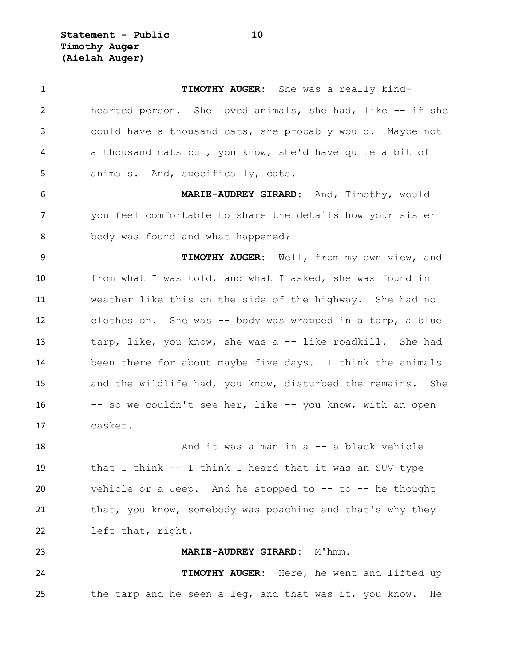**Statement - Public 10 Timothy Auger (Aielah Auger)**

 **TIMOTHY AUGER:** She was a really kind- hearted person. She loved animals, she had, like -- if she could have a thousand cats, she probably would. Maybe not a thousand cats but, you know, she'd have quite a bit of animals. And, specifically, cats. **MARIE-AUDREY GIRARD:** And, Timothy, would you feel comfortable to share the details how your sister body was found and what happened? **TIMOTHY AUGER:** Well, from my own view, and from what I was told, and what I asked, she was found in weather like this on the side of the highway. She had no clothes on. She was -- body was wrapped in a tarp, a blue 13 tarp, like, you know, she was a -- like roadkill. She had been there for about maybe five days. I think the animals and the wildlife had, you know, disturbed the remains. She -- so we couldn't see her, like -- you know, with an open casket. And it was a man in a -- a black vehicle that I think -- I think I heard that it was an SUV-type vehicle or a Jeep. And he stopped to -- to -- he thought 21 that, you know, somebody was poaching and that's why they left that, right. **MARIE-AUDREY GIRARD:** M'hmm. **TIMOTHY AUGER:** Here, he went and lifted up 25 the tarp and he seen a leg, and that was it, you know. He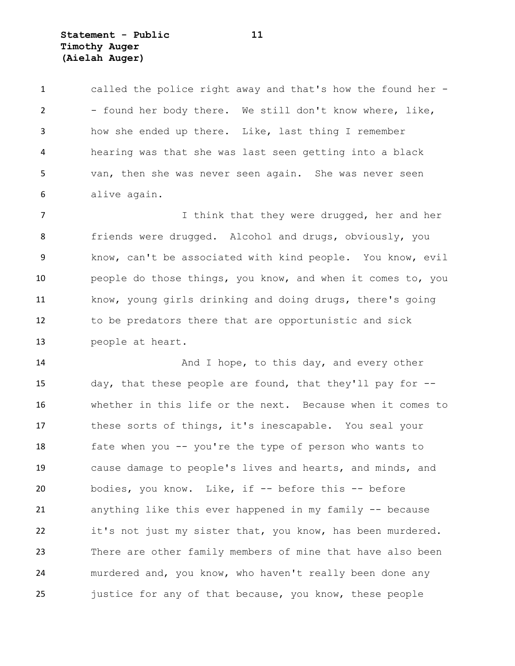**Statement - Public 11 Timothy Auger (Aielah Auger)**

 called the police right away and that's how the found her - 2 - found her body there. We still don't know where, like, how she ended up there. Like, last thing I remember hearing was that she was last seen getting into a black van, then she was never seen again. She was never seen alive again.

7 1 I think that they were drugged, her and her 8 friends were drugged. Alcohol and drugs, obviously, you know, can't be associated with kind people. You know, evil people do those things, you know, and when it comes to, you know, young girls drinking and doing drugs, there's going to be predators there that are opportunistic and sick people at heart.

14 And I hope, to this day, and every other day, that these people are found, that they'll pay for -- whether in this life or the next. Because when it comes to these sorts of things, it's inescapable. You seal your fate when you -- you're the type of person who wants to cause damage to people's lives and hearts, and minds, and bodies, you know. Like, if -- before this -- before anything like this ever happened in my family -- because it's not just my sister that, you know, has been murdered. There are other family members of mine that have also been murdered and, you know, who haven't really been done any justice for any of that because, you know, these people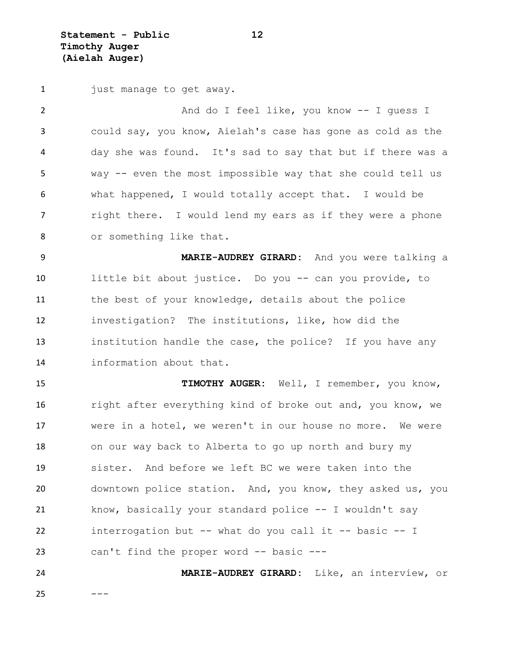**Statement - Public 12 Timothy Auger (Aielah Auger)**

1 just manage to get away.

2 And do I feel like, you know -- I guess I could say, you know, Aielah's case has gone as cold as the day she was found. It's sad to say that but if there was a way -- even the most impossible way that she could tell us what happened, I would totally accept that. I would be **right there.** I would lend my ears as if they were a phone or something like that. **MARIE-AUDREY GIRARD:** And you were talking a

 little bit about justice. Do you -- can you provide, to the best of your knowledge, details about the police investigation? The institutions, like, how did the institution handle the case, the police? If you have any information about that.

 **TIMOTHY AUGER:** Well, I remember, you know, 16 right after everything kind of broke out and, you know, we were in a hotel, we weren't in our house no more. We were on our way back to Alberta to go up north and bury my sister. And before we left BC we were taken into the downtown police station. And, you know, they asked us, you know, basically your standard police -- I wouldn't say interrogation but -- what do you call it -- basic -- I can't find the proper word -- basic ---

 **MARIE-AUDREY GIRARD:** Like, an interview, or  $---$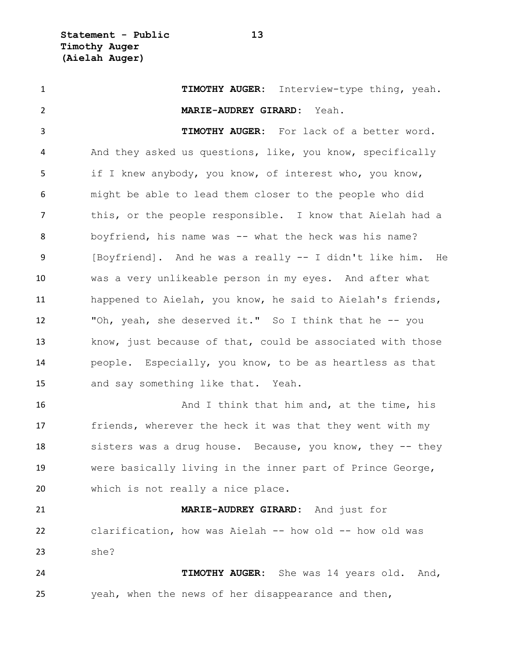**TIMOTHY AUGER:** Interview-type thing, yeah. **MARIE-AUDREY GIRARD:** Yeah. **TIMOTHY AUGER:** For lack of a better word. And they asked us questions, like, you know, specifically if I knew anybody, you know, of interest who, you know, might be able to lead them closer to the people who did this, or the people responsible. I know that Aielah had a boyfriend, his name was -- what the heck was his name? [Boyfriend]. And he was a really -- I didn't like him. He was a very unlikeable person in my eyes. And after what happened to Aielah, you know, he said to Aielah's friends, "Oh, yeah, she deserved it." So I think that he -- you know, just because of that, could be associated with those people. Especially, you know, to be as heartless as that and say something like that. Yeah. 16 And I think that him and, at the time, his friends, wherever the heck it was that they went with my 18 sisters was a drug house. Because, you know, they -- they were basically living in the inner part of Prince George, which is not really a nice place. **MARIE-AUDREY GIRARD:** And just for clarification, how was Aielah -- how old -- how old was she? **TIMOTHY AUGER:** She was 14 years old. And, yeah, when the news of her disappearance and then,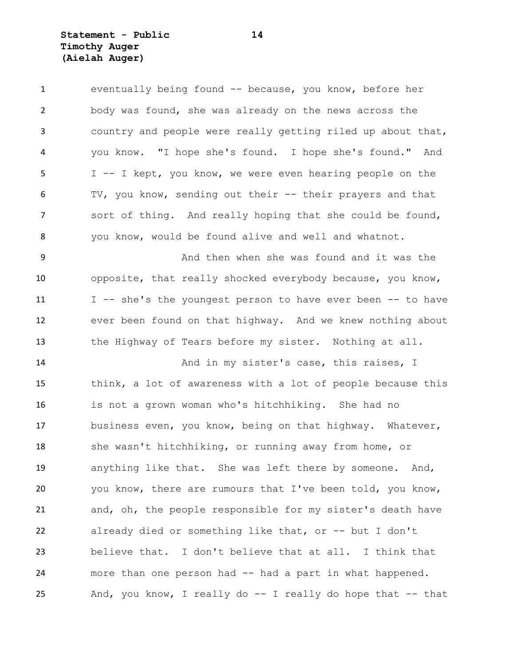**Statement - Public 14 Timothy Auger (Aielah Auger)**

 eventually being found -- because, you know, before her body was found, she was already on the news across the country and people were really getting riled up about that, you know. "I hope she's found. I hope she's found." And I -- I kept, you know, we were even hearing people on the TV, you know, sending out their -- their prayers and that sort of thing. And really hoping that she could be found, you know, would be found alive and well and whatnot. And then when she was found and it was the opposite, that really shocked everybody because, you know, 11 I -- she's the youngest person to have ever been -- to have ever been found on that highway. And we knew nothing about the Highway of Tears before my sister. Nothing at all. 14 And in my sister's case, this raises, I think, a lot of awareness with a lot of people because this is not a grown woman who's hitchhiking. She had no business even, you know, being on that highway. Whatever, she wasn't hitchhiking, or running away from home, or anything like that. She was left there by someone. And, you know, there are rumours that I've been told, you know, and, oh, the people responsible for my sister's death have already died or something like that, or -- but I don't believe that. I don't believe that at all. I think that more than one person had -- had a part in what happened. And, you know, I really do -- I really do hope that -- that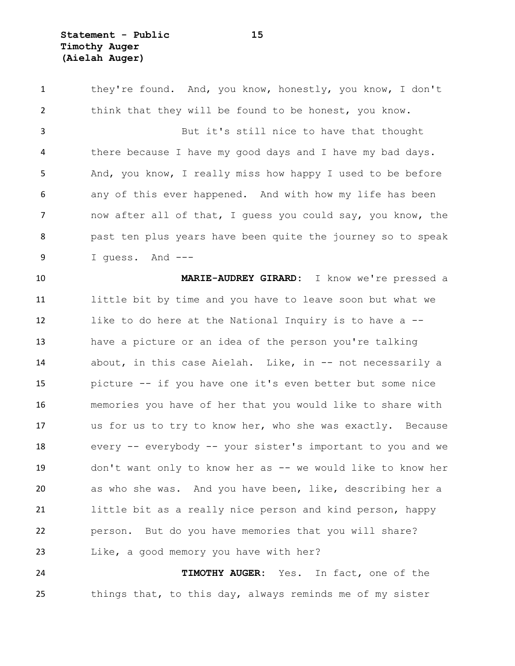**Statement - Public 15 Timothy Auger (Aielah Auger)**

 they're found. And, you know, honestly, you know, I don't think that they will be found to be honest, you know. But it's still nice to have that thought there because I have my good days and I have my bad days. And, you know, I really miss how happy I used to be before any of this ever happened. And with how my life has been now after all of that, I guess you could say, you know, the past ten plus years have been quite the journey so to speak I guess. And --- **MARIE-AUDREY GIRARD:** I know we're pressed a little bit by time and you have to leave soon but what we like to do here at the National Inquiry is to have a -- have a picture or an idea of the person you're talking about, in this case Aielah. Like, in -- not necessarily a picture -- if you have one it's even better but some nice memories you have of her that you would like to share with us for us to try to know her, who she was exactly. Because every -- everybody -- your sister's important to you and we don't want only to know her as -- we would like to know her as who she was. And you have been, like, describing her a little bit as a really nice person and kind person, happy person. But do you have memories that you will share? Like, a good memory you have with her? **TIMOTHY AUGER:** Yes. In fact, one of the

things that, to this day, always reminds me of my sister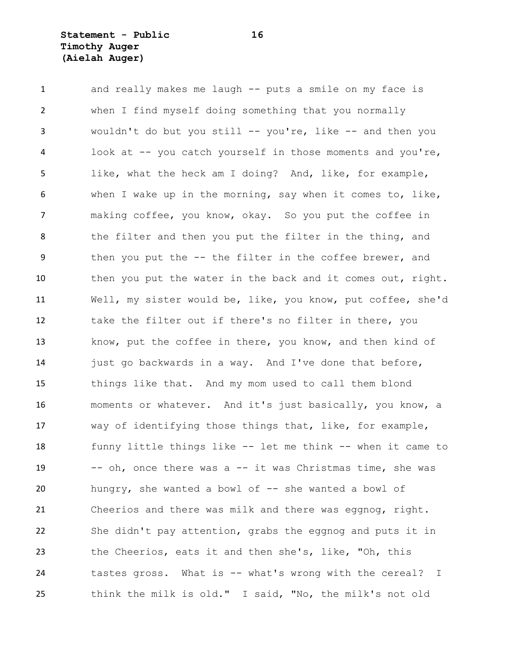#### **Statement - Public 16 Timothy Auger (Aielah Auger)**

 and really makes me laugh -- puts a smile on my face is when I find myself doing something that you normally wouldn't do but you still -- you're, like -- and then you look at -- you catch yourself in those moments and you're, like, what the heck am I doing? And, like, for example, when I wake up in the morning, say when it comes to, like, making coffee, you know, okay. So you put the coffee in 8 the filter and then you put the filter in the thing, and then you put the -- the filter in the coffee brewer, and 10 then you put the water in the back and it comes out, right. Well, my sister would be, like, you know, put coffee, she'd take the filter out if there's no filter in there, you know, put the coffee in there, you know, and then kind of 14 just go backwards in a way. And I've done that before, things like that. And my mom used to call them blond moments or whatever. And it's just basically, you know, a way of identifying those things that, like, for example, funny little things like -- let me think -- when it came to -- oh, once there was a -- it was Christmas time, she was 20 hungry, she wanted a bowl of -- she wanted a bowl of Cheerios and there was milk and there was eggnog, right. She didn't pay attention, grabs the eggnog and puts it in the Cheerios, eats it and then she's, like, "Oh, this tastes gross. What is -- what's wrong with the cereal? I think the milk is old." I said, "No, the milk's not old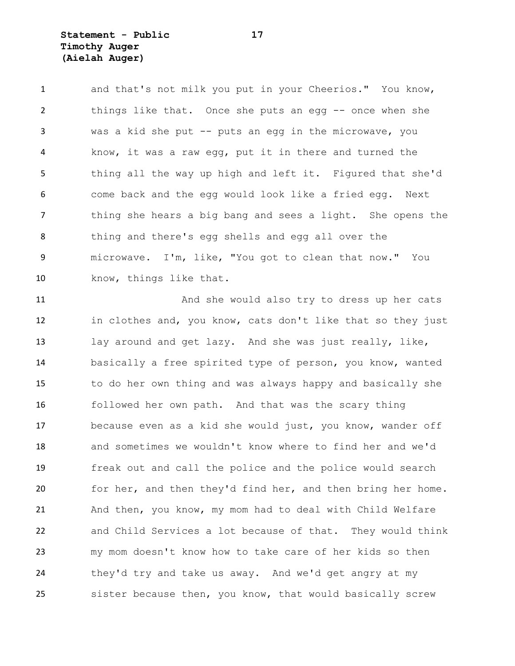**Statement - Public 17 Timothy Auger (Aielah Auger)**

1 and that's not milk you put in your Cheerios." You know, things like that. Once she puts an egg -- once when she was a kid she put -- puts an egg in the microwave, you know, it was a raw egg, put it in there and turned the thing all the way up high and left it. Figured that she'd come back and the egg would look like a fried egg. Next 7 thing she hears a big bang and sees a light. She opens the thing and there's egg shells and egg all over the microwave. I'm, like, "You got to clean that now." You 10 know, things like that.

 And she would also try to dress up her cats in clothes and, you know, cats don't like that so they just lay around and get lazy. And she was just really, like, basically a free spirited type of person, you know, wanted to do her own thing and was always happy and basically she followed her own path. And that was the scary thing because even as a kid she would just, you know, wander off and sometimes we wouldn't know where to find her and we'd freak out and call the police and the police would search for her, and then they'd find her, and then bring her home. And then, you know, my mom had to deal with Child Welfare and Child Services a lot because of that. They would think my mom doesn't know how to take care of her kids so then they'd try and take us away. And we'd get angry at my sister because then, you know, that would basically screw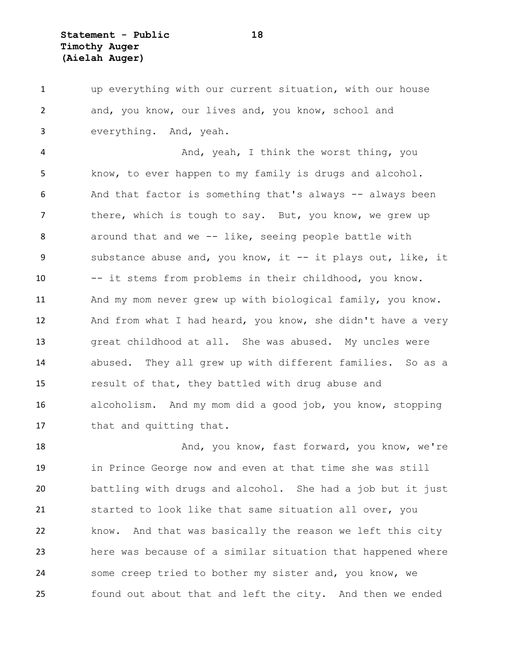**Statement - Public 18 Timothy Auger (Aielah Auger)**

 up everything with our current situation, with our house and, you know, our lives and, you know, school and everything. And, yeah.

4 And, yeah, I think the worst thing, you know, to ever happen to my family is drugs and alcohol. 6 And that factor is something that's always -- always been there, which is tough to say. But, you know, we grew up 8 around that and we -- like, seeing people battle with substance abuse and, you know, it -- it plays out, like, it -- it stems from problems in their childhood, you know. And my mom never grew up with biological family, you know. 12 And from what I had heard, you know, she didn't have a very great childhood at all. She was abused. My uncles were abused. They all grew up with different families. So as a result of that, they battled with drug abuse and alcoholism. And my mom did a good job, you know, stopping 17 that and quitting that.

18 And, you know, fast forward, you know, we're in Prince George now and even at that time she was still battling with drugs and alcohol. She had a job but it just started to look like that same situation all over, you know. And that was basically the reason we left this city here was because of a similar situation that happened where some creep tried to bother my sister and, you know, we found out about that and left the city. And then we ended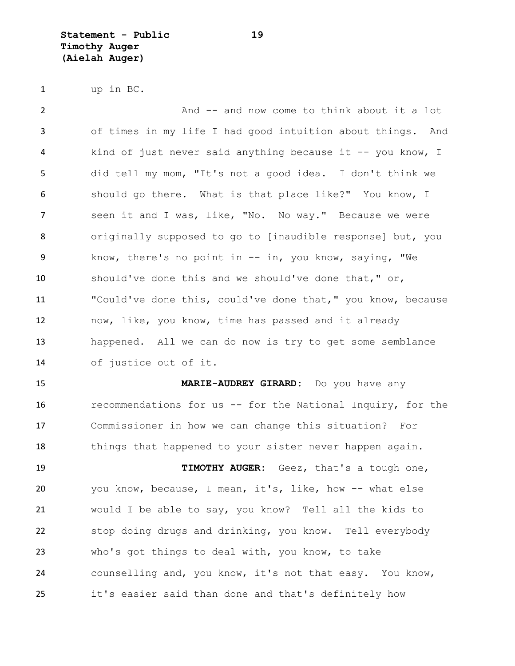**Statement - Public 19 Timothy Auger (Aielah Auger)**

up in BC.

 And -- and now come to think about it a lot of times in my life I had good intuition about things. And kind of just never said anything because it -- you know, I did tell my mom, "It's not a good idea. I don't think we should go there. What is that place like?" You know, I seen it and I was, like, "No. No way." Because we were originally supposed to go to [inaudible response] but, you know, there's no point in -- in, you know, saying, "We should've done this and we should've done that," or, "Could've done this, could've done that," you know, because now, like, you know, time has passed and it already happened. All we can do now is try to get some semblance of justice out of it. **MARIE-AUDREY GIRARD:** Do you have any recommendations for us -- for the National Inquiry, for the

 Commissioner in how we can change this situation? For 18 things that happened to your sister never happen again.

 **TIMOTHY AUGER:** Geez, that's a tough one, you know, because, I mean, it's, like, how -- what else would I be able to say, you know? Tell all the kids to stop doing drugs and drinking, you know. Tell everybody who's got things to deal with, you know, to take counselling and, you know, it's not that easy. You know, it's easier said than done and that's definitely how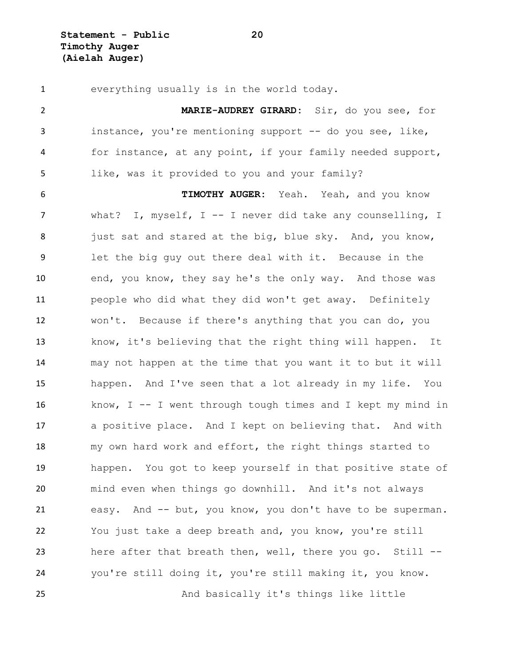**Statement - Public 20 Timothy Auger (Aielah Auger)**

 everything usually is in the world today. **MARIE-AUDREY GIRARD:** Sir, do you see, for instance, you're mentioning support -- do you see, like, for instance, at any point, if your family needed support, like, was it provided to you and your family? **TIMOTHY AUGER:** Yeah. Yeah, and you know what? I, myself, I -- I never did take any counselling, I 8 just sat and stared at the big, blue sky. And, you know, let the big guy out there deal with it. Because in the end, you know, they say he's the only way. And those was people who did what they did won't get away. Definitely won't. Because if there's anything that you can do, you know, it's believing that the right thing will happen. It may not happen at the time that you want it to but it will happen. And I've seen that a lot already in my life. You know, I -- I went through tough times and I kept my mind in a positive place. And I kept on believing that. And with my own hard work and effort, the right things started to happen. You got to keep yourself in that positive state of mind even when things go downhill. And it's not always easy. And -- but, you know, you don't have to be superman. You just take a deep breath and, you know, you're still here after that breath then, well, there you go. Still -- you're still doing it, you're still making it, you know. And basically it's things like little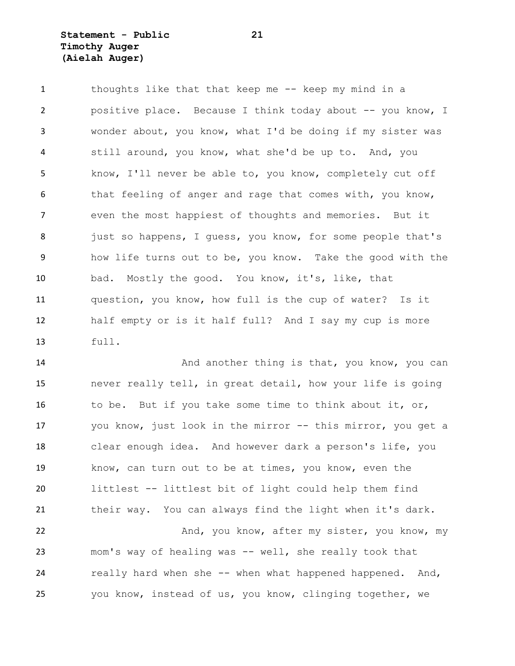# **Statement - Public 21 Timothy Auger (Aielah Auger)**

 thoughts like that that keep me -- keep my mind in a positive place. Because I think today about -- you know, I wonder about, you know, what I'd be doing if my sister was still around, you know, what she'd be up to. And, you know, I'll never be able to, you know, completely cut off 6 that feeling of anger and rage that comes with, you know, even the most happiest of thoughts and memories. But it 8 just so happens, I quess, you know, for some people that's how life turns out to be, you know. Take the good with the bad. Mostly the good. You know, it's, like, that question, you know, how full is the cup of water? Is it half empty or is it half full? And I say my cup is more full.

**And another thing is that, you know, you can**  never really tell, in great detail, how your life is going to be. But if you take some time to think about it, or, you know, just look in the mirror -- this mirror, you get a clear enough idea. And however dark a person's life, you know, can turn out to be at times, you know, even the littlest -- littlest bit of light could help them find their way. You can always find the light when it's dark. 22 And, you know, after my sister, you know, my mom's way of healing was -- well, she really took that

24 really hard when she -- when what happened happened. And, you know, instead of us, you know, clinging together, we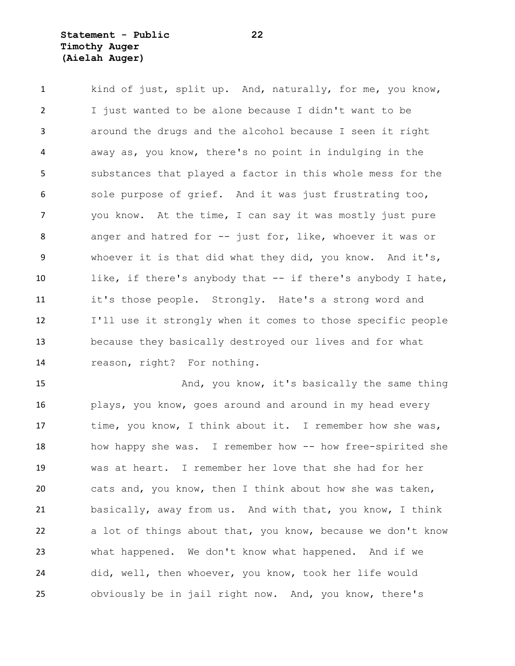# **Statement - Public 22 Timothy Auger (Aielah Auger)**

 kind of just, split up. And, naturally, for me, you know, I just wanted to be alone because I didn't want to be around the drugs and the alcohol because I seen it right away as, you know, there's no point in indulging in the substances that played a factor in this whole mess for the sole purpose of grief. And it was just frustrating too, you know. At the time, I can say it was mostly just pure anger and hatred for -- just for, like, whoever it was or whoever it is that did what they did, you know. And it's, like, if there's anybody that -- if there's anybody I hate, it's those people. Strongly. Hate's a strong word and I'll use it strongly when it comes to those specific people because they basically destroyed our lives and for what reason, right? For nothing.

15 And, you know, it's basically the same thing plays, you know, goes around and around in my head every 17 time, you know, I think about it. I remember how she was, 18 how happy she was. I remember how -- how free-spirited she was at heart. I remember her love that she had for her cats and, you know, then I think about how she was taken, basically, away from us. And with that, you know, I think a lot of things about that, you know, because we don't know what happened. We don't know what happened. And if we did, well, then whoever, you know, took her life would obviously be in jail right now. And, you know, there's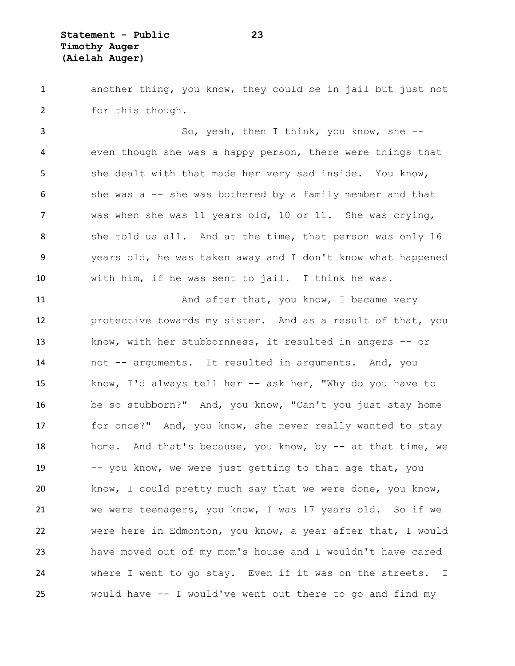another thing, you know, they could be in jail but just not for this though.

 So, yeah, then I think, you know, she -- even though she was a happy person, there were things that she dealt with that made her very sad inside. You know, she was a -- she was bothered by a family member and that was when she was 11 years old, 10 or 11. She was crying, she told us all. And at the time, that person was only 16 years old, he was taken away and I don't know what happened with him, if he was sent to jail. I think he was.

11 And after that, you know, I became very protective towards my sister. And as a result of that, you know, with her stubbornness, it resulted in angers -- or not -- arguments. It resulted in arguments. And, you know, I'd always tell her -- ask her, "Why do you have to be so stubborn?" And, you know, "Can't you just stay home 17 for once?" And, you know, she never really wanted to stay 18 home. And that's because, you know, by -- at that time, we 19 -- you know, we were just getting to that age that, you know, I could pretty much say that we were done, you know, we were teenagers, you know, I was 17 years old. So if we were here in Edmonton, you know, a year after that, I would have moved out of my mom's house and I wouldn't have cared where I went to go stay. Even if it was on the streets. I would have -- I would've went out there to go and find my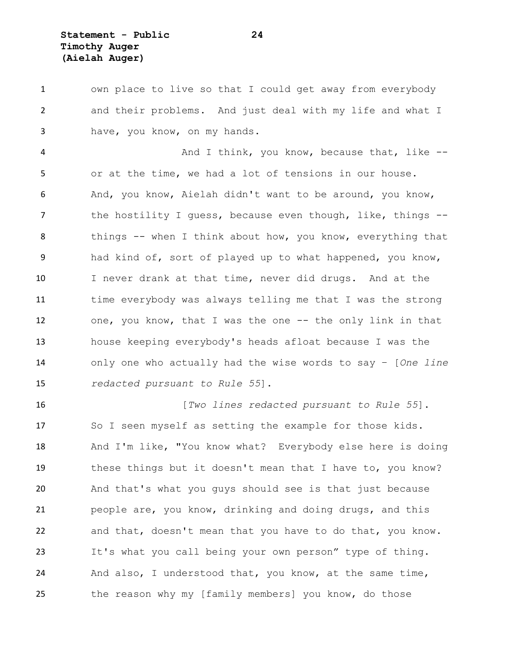**Statement - Public 24 Timothy Auger (Aielah Auger)**

 own place to live so that I could get away from everybody and their problems. And just deal with my life and what I have, you know, on my hands.

4 And I think, you know, because that, like -- or at the time, we had a lot of tensions in our house. And, you know, Aielah didn't want to be around, you know, 7 the hostility I quess, because even though, like, things --8 things -- when I think about how, you know, everything that had kind of, sort of played up to what happened, you know, I never drank at that time, never did drugs. And at the time everybody was always telling me that I was the strong one, you know, that I was the one -- the only link in that house keeping everybody's heads afloat because I was the only one who actually had the wise words to say – [*One line redacted pursuant to Rule 55*].

 [*Two lines redacted pursuant to Rule 55*]. So I seen myself as setting the example for those kids. And I'm like, "You know what? Everybody else here is doing these things but it doesn't mean that I have to, you know? And that's what you guys should see is that just because people are, you know, drinking and doing drugs, and this and that, doesn't mean that you have to do that, you know. It's what you call being your own person" type of thing. And also, I understood that, you know, at the same time, 25 the reason why my [family members] you know, do those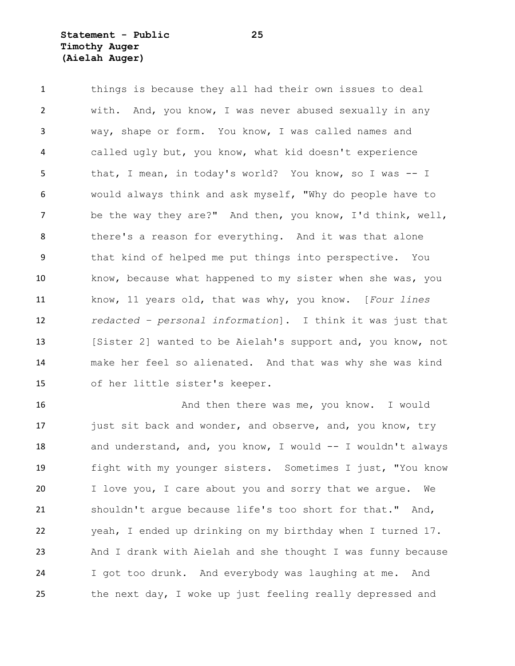# **Statement - Public 25 Timothy Auger (Aielah Auger)**

 things is because they all had their own issues to deal with. And, you know, I was never abused sexually in any way, shape or form. You know, I was called names and called ugly but, you know, what kid doesn't experience 5 that, I mean, in today's world? You know, so I was -- I would always think and ask myself, "Why do people have to be the way they are?" And then, you know, I'd think, well, there's a reason for everything. And it was that alone that kind of helped me put things into perspective. You know, because what happened to my sister when she was, you know, 11 years old, that was why, you know. [*Four lines redacted – personal information*]. I think it was just that [Sister 2] wanted to be Aielah's support and, you know, not make her feel so alienated. And that was why she was kind of her little sister's keeper.

16 And then there was me, you know. I would 17 just sit back and wonder, and observe, and, you know, try and understand, and, you know, I would -- I wouldn't always fight with my younger sisters. Sometimes I just, "You know I love you, I care about you and sorry that we argue. We shouldn't argue because life's too short for that." And, yeah, I ended up drinking on my birthday when I turned 17. And I drank with Aielah and she thought I was funny because I got too drunk. And everybody was laughing at me. And the next day, I woke up just feeling really depressed and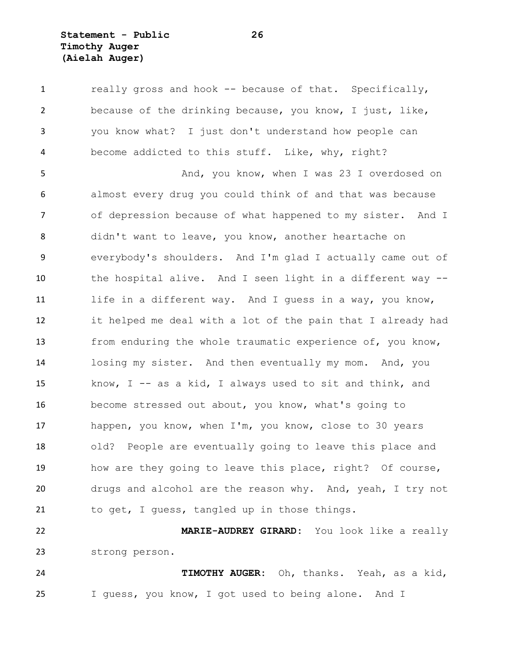**Statement - Public 26 Timothy Auger (Aielah Auger)**

1 really gross and hook -- because of that. Specifically, because of the drinking because, you know, I just, like, you know what? I just don't understand how people can become addicted to this stuff. Like, why, right?

5 And, you know, when I was 23 I overdosed on almost every drug you could think of and that was because of depression because of what happened to my sister. And I didn't want to leave, you know, another heartache on everybody's shoulders. And I'm glad I actually came out of the hospital alive. And I seen light in a different way -- life in a different way. And I guess in a way, you know, it helped me deal with a lot of the pain that I already had from enduring the whole traumatic experience of, you know, losing my sister. And then eventually my mom. And, you know, I -- as a kid, I always used to sit and think, and become stressed out about, you know, what's going to happen, you know, when I'm, you know, close to 30 years old? People are eventually going to leave this place and how are they going to leave this place, right? Of course, drugs and alcohol are the reason why. And, yeah, I try not to get, I guess, tangled up in those things.

 **MARIE-AUDREY GIRARD:** You look like a really strong person.

 **TIMOTHY AUGER:** Oh, thanks. Yeah, as a kid, I guess, you know, I got used to being alone. And I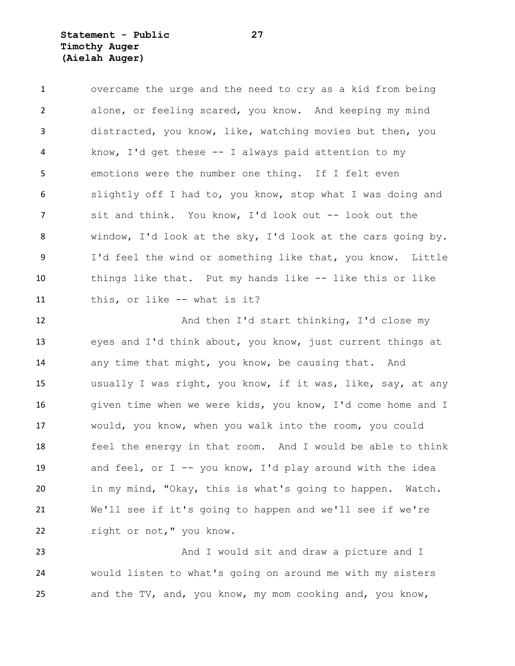**Statement - Public 27 Timothy Auger (Aielah Auger)**

 overcame the urge and the need to cry as a kid from being alone, or feeling scared, you know. And keeping my mind distracted, you know, like, watching movies but then, you know, I'd get these -- I always paid attention to my emotions were the number one thing. If I felt even slightly off I had to, you know, stop what I was doing and sit and think. You know, I'd look out -- look out the window, I'd look at the sky, I'd look at the cars going by. 9 I'd feel the wind or something like that, you know. Little things like that. Put my hands like -- like this or like this, or like -- what is it?

 And then I'd start thinking, I'd close my eyes and I'd think about, you know, just current things at 14 any time that might, you know, be causing that. And usually I was right, you know, if it was, like, say, at any given time when we were kids, you know, I'd come home and I would, you know, when you walk into the room, you could feel the energy in that room. And I would be able to think 19 and feel, or I -- you know, I'd play around with the idea in my mind, "Okay, this is what's going to happen. Watch. We'll see if it's going to happen and we'll see if we're 22 right or not," you know.

23 And I would sit and draw a picture and I would listen to what's going on around me with my sisters and the TV, and, you know, my mom cooking and, you know,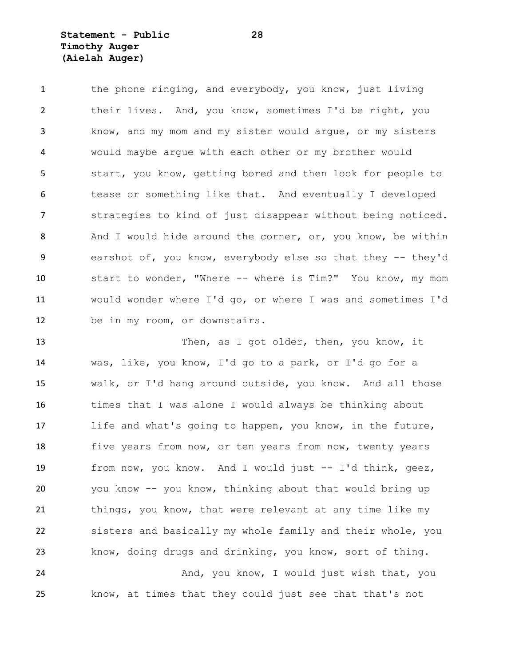# **Statement - Public 28 Timothy Auger (Aielah Auger)**

1 the phone ringing, and everybody, you know, just living their lives. And, you know, sometimes I'd be right, you know, and my mom and my sister would argue, or my sisters would maybe argue with each other or my brother would start, you know, getting bored and then look for people to tease or something like that. And eventually I developed strategies to kind of just disappear without being noticed. 8 And I would hide around the corner, or, you know, be within earshot of, you know, everybody else so that they -- they'd start to wonder, "Where -- where is Tim?" You know, my mom would wonder where I'd go, or where I was and sometimes I'd be in my room, or downstairs.

 Then, as I got older, then, you know, it was, like, you know, I'd go to a park, or I'd go for a walk, or I'd hang around outside, you know. And all those times that I was alone I would always be thinking about life and what's going to happen, you know, in the future, 18 five years from now, or ten years from now, twenty years from now, you know. And I would just -- I'd think, geez, you know -- you know, thinking about that would bring up things, you know, that were relevant at any time like my sisters and basically my whole family and their whole, you know, doing drugs and drinking, you know, sort of thing. 24 And, you know, I would just wish that, you

know, at times that they could just see that that's not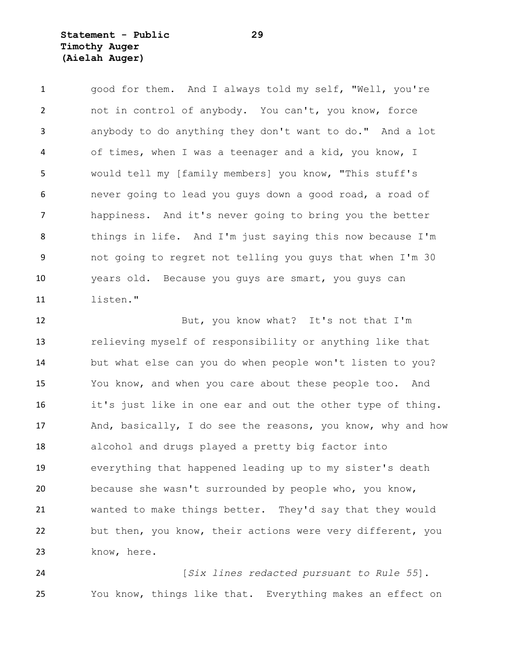# **Statement - Public 29 Timothy Auger (Aielah Auger)**

1 good for them. And I always told my self, "Well, you're not in control of anybody. You can't, you know, force anybody to do anything they don't want to do." And a lot of times, when I was a teenager and a kid, you know, I would tell my [family members] you know, "This stuff's never going to lead you guys down a good road, a road of happiness. And it's never going to bring you the better things in life. And I'm just saying this now because I'm not going to regret not telling you guys that when I'm 30 years old. Because you guys are smart, you guys can listen."

 But, you know what? It's not that I'm relieving myself of responsibility or anything like that but what else can you do when people won't listen to you? You know, and when you care about these people too. And it's just like in one ear and out the other type of thing. 17 And, basically, I do see the reasons, you know, why and how alcohol and drugs played a pretty big factor into everything that happened leading up to my sister's death because she wasn't surrounded by people who, you know, wanted to make things better. They'd say that they would but then, you know, their actions were very different, you 23 know, here.

 [*Six lines redacted pursuant to Rule 55*]. You know, things like that. Everything makes an effect on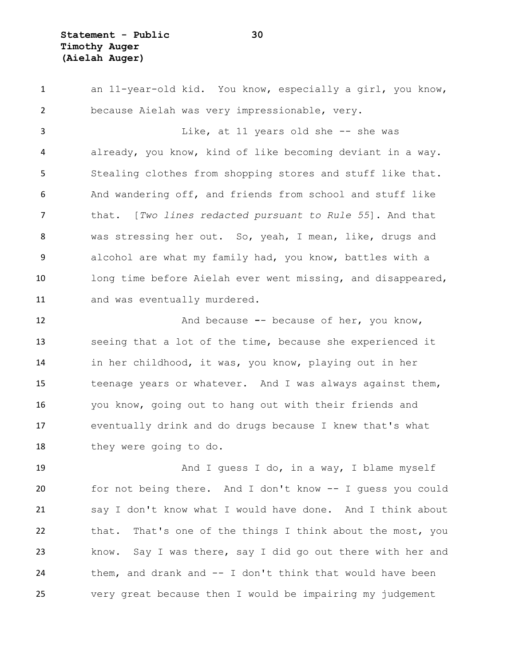an 11-year-old kid. You know, especially a girl, you know, because Aielah was very impressionable, very. Like, at 11 years old she -- she was already, you know, kind of like becoming deviant in a way. Stealing clothes from shopping stores and stuff like that. And wandering off, and friends from school and stuff like that. [*Two lines redacted pursuant to Rule 55*]. And that was stressing her out. So, yeah, I mean, like, drugs and alcohol are what my family had, you know, battles with a long time before Aielah ever went missing, and disappeared, and was eventually murdered.

 And because **-**- because of her, you know, seeing that a lot of the time, because she experienced it in her childhood, it was, you know, playing out in her 15 teenage years or whatever. And I was always against them, you know, going out to hang out with their friends and eventually drink and do drugs because I knew that's what 18 they were going to do.

19 And I guess I do, in a way, I blame myself for not being there. And I don't know -- I guess you could say I don't know what I would have done. And I think about that. That's one of the things I think about the most, you know. Say I was there, say I did go out there with her and them, and drank and -- I don't think that would have been very great because then I would be impairing my judgement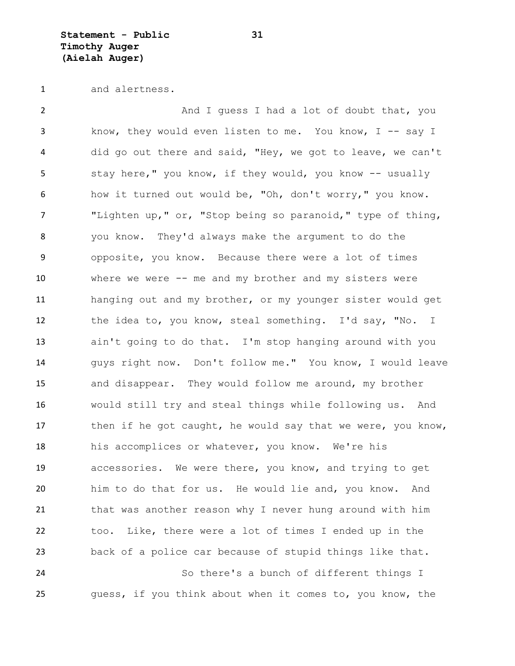**Statement - Public 31 Timothy Auger (Aielah Auger)**

and alertness.

2 And I guess I had a lot of doubt that, you know, they would even listen to me. You know, I -- say I did go out there and said, "Hey, we got to leave, we can't 5 stay here," you know, if they would, you know -- usually how it turned out would be, "Oh, don't worry," you know. "Lighten up," or, "Stop being so paranoid," type of thing, you know. They'd always make the argument to do the opposite, you know. Because there were a lot of times where we were -- me and my brother and my sisters were hanging out and my brother, or my younger sister would get the idea to, you know, steal something. I'd say, "No. I ain't going to do that. I'm stop hanging around with you guys right now. Don't follow me." You know, I would leave and disappear. They would follow me around, my brother would still try and steal things while following us. And 17 then if he got caught, he would say that we were, you know, his accomplices or whatever, you know. We're his accessories. We were there, you know, and trying to get him to do that for us. He would lie and, you know. And that was another reason why I never hung around with him too. Like, there were a lot of times I ended up in the back of a police car because of stupid things like that. So there's a bunch of different things I guess, if you think about when it comes to, you know, the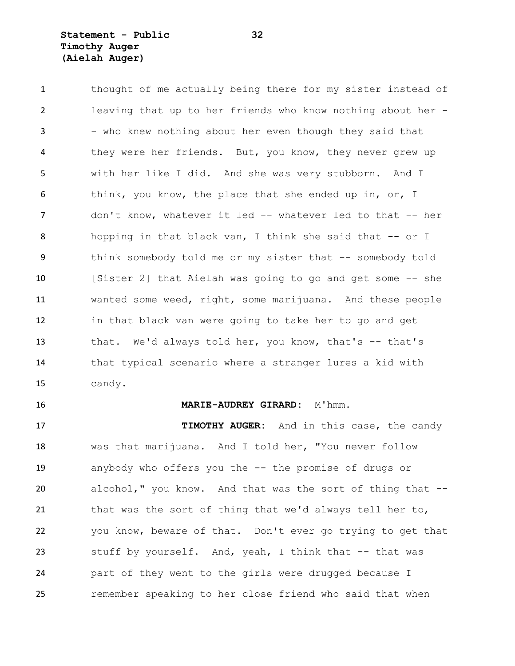## **Statement - Public 32 Timothy Auger (Aielah Auger)**

1 thought of me actually being there for my sister instead of leaving that up to her friends who know nothing about her - 3 - who knew nothing about her even though they said that they were her friends. But, you know, they never grew up with her like I did. And she was very stubborn. And I think, you know, the place that she ended up in, or, I 7 don't know, whatever it led -- whatever led to that -- her hopping in that black van, I think she said that -- or I think somebody told me or my sister that -- somebody told [Sister 2] that Aielah was going to go and get some -- she wanted some weed, right, some marijuana. And these people in that black van were going to take her to go and get that. We'd always told her, you know, that's -- that's that typical scenario where a stranger lures a kid with candy.

#### **MARIE-AUDREY GIRARD:** M'hmm.

 **TIMOTHY AUGER:** And in this case, the candy was that marijuana. And I told her, "You never follow anybody who offers you the -- the promise of drugs or alcohol," you know. And that was the sort of thing that -- that was the sort of thing that we'd always tell her to, you know, beware of that. Don't ever go trying to get that stuff by yourself. And, yeah, I think that -- that was part of they went to the girls were drugged because I remember speaking to her close friend who said that when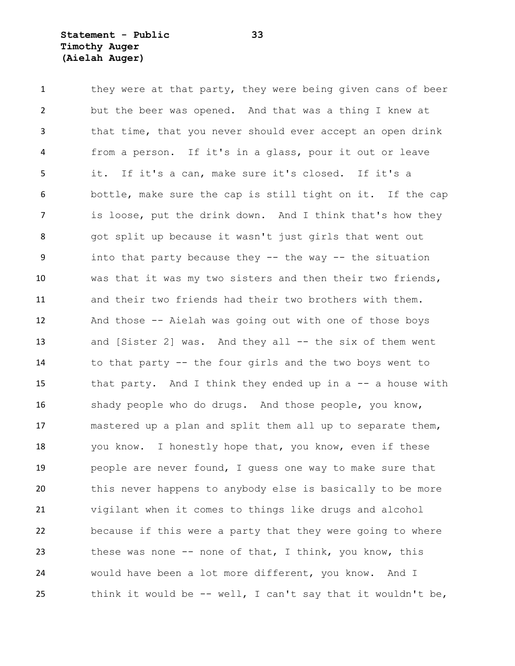### **Statement - Public 33 Timothy Auger (Aielah Auger)**

1 they were at that party, they were being given cans of beer but the beer was opened. And that was a thing I knew at that time, that you never should ever accept an open drink from a person. If it's in a glass, pour it out or leave it. If it's a can, make sure it's closed. If it's a bottle, make sure the cap is still tight on it. If the cap is loose, put the drink down. And I think that's how they got split up because it wasn't just girls that went out into that party because they -- the way -- the situation was that it was my two sisters and then their two friends, and their two friends had their two brothers with them. And those -- Aielah was going out with one of those boys 13 and [Sister 2] was. And they all -- the six of them went to that party -- the four girls and the two boys went to that party. And I think they ended up in a -- a house with 16 shady people who do drugs. And those people, you know, mastered up a plan and split them all up to separate them, you know. I honestly hope that, you know, even if these people are never found, I guess one way to make sure that this never happens to anybody else is basically to be more vigilant when it comes to things like drugs and alcohol because if this were a party that they were going to where these was none -- none of that, I think, you know, this would have been a lot more different, you know. And I think it would be -- well, I can't say that it wouldn't be,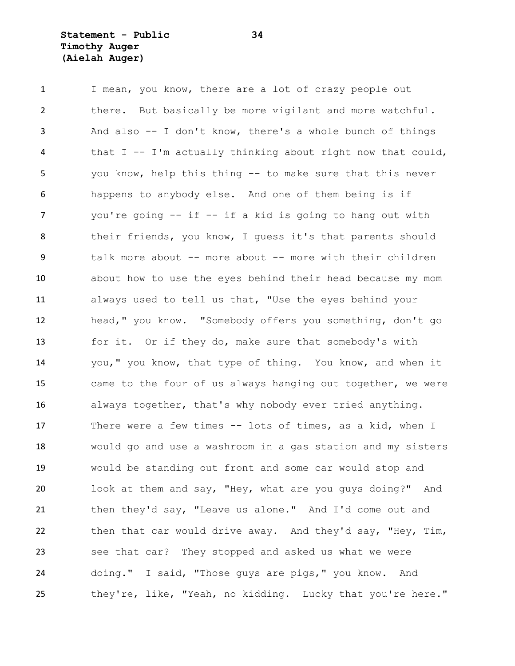1 I mean, you know, there are a lot of crazy people out there. But basically be more vigilant and more watchful. And also -- I don't know, there's a whole bunch of things that I -- I'm actually thinking about right now that could, you know, help this thing -- to make sure that this never happens to anybody else. And one of them being is if you're going -- if -- if a kid is going to hang out with their friends, you know, I guess it's that parents should talk more about -- more about -- more with their children about how to use the eyes behind their head because my mom always used to tell us that, "Use the eyes behind your head," you know. "Somebody offers you something, don't go for it. Or if they do, make sure that somebody's with you," you know, that type of thing. You know, and when it came to the four of us always hanging out together, we were always together, that's why nobody ever tried anything. There were a few times -- lots of times, as a kid, when I would go and use a washroom in a gas station and my sisters would be standing out front and some car would stop and look at them and say, "Hey, what are you guys doing?" And then they'd say, "Leave us alone." And I'd come out and 22 then that car would drive away. And they'd say, "Hey, Tim, see that car? They stopped and asked us what we were doing." I said, "Those guys are pigs," you know. And they're, like, "Yeah, no kidding. Lucky that you're here."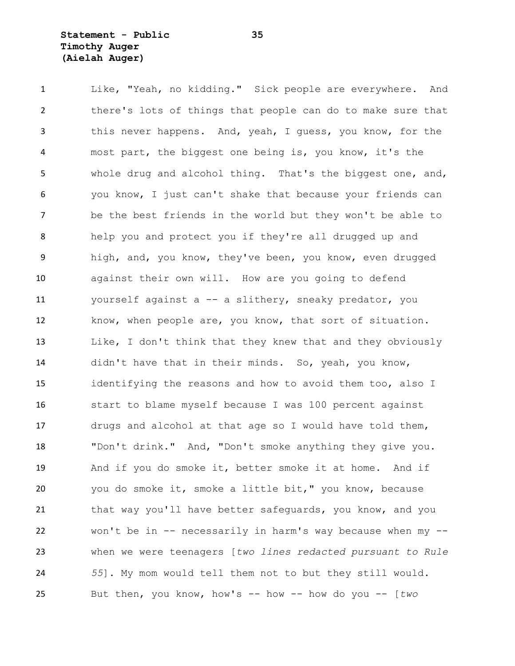## **Statement - Public 35 Timothy Auger (Aielah Auger)**

 Like, "Yeah, no kidding." Sick people are everywhere. And there's lots of things that people can do to make sure that this never happens. And, yeah, I guess, you know, for the most part, the biggest one being is, you know, it's the whole drug and alcohol thing. That's the biggest one, and, you know, I just can't shake that because your friends can be the best friends in the world but they won't be able to help you and protect you if they're all drugged up and high, and, you know, they've been, you know, even drugged against their own will. How are you going to defend yourself against a -- a slithery, sneaky predator, you know, when people are, you know, that sort of situation. Like, I don't think that they knew that and they obviously didn't have that in their minds. So, yeah, you know, identifying the reasons and how to avoid them too, also I start to blame myself because I was 100 percent against drugs and alcohol at that age so I would have told them, "Don't drink." And, "Don't smoke anything they give you. And if you do smoke it, better smoke it at home. And if you do smoke it, smoke a little bit," you know, because 21 that way you'll have better safequards, you know, and you won't be in -- necessarily in harm's way because when my -- when we were teenagers [*two lines redacted pursuant to Rule 55*]. My mom would tell them not to but they still would. But then, you know, how's -- how -- how do you -- [*two*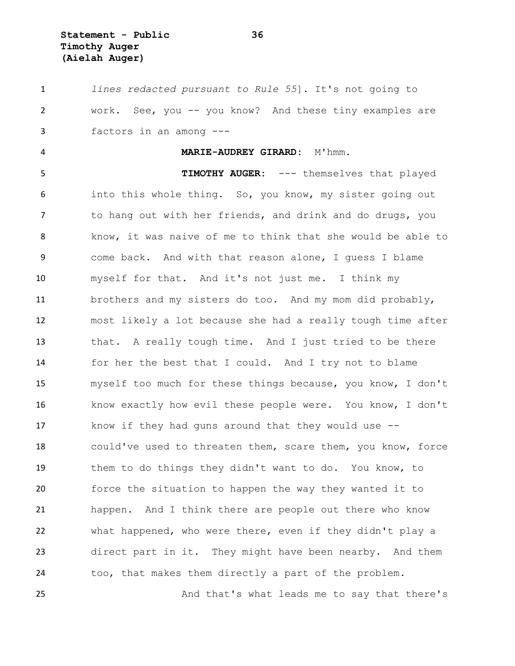**Statement - Public 36 Timothy Auger (Aielah Auger)**

 *lines redacted pursuant to Rule 55*]. It's not going to work. See, you -- you know? And these tiny examples are factors in an among --- **MARIE-AUDREY GIRARD:** M'hmm. 5 TIMOTHY AUGER: --- themselves that played into this whole thing. So, you know, my sister going out to hang out with her friends, and drink and do drugs, you know, it was naive of me to think that she would be able to come back. And with that reason alone, I guess I blame myself for that. And it's not just me. I think my brothers and my sisters do too. And my mom did probably, most likely a lot because she had a really tough time after that. A really tough time. And I just tried to be there for her the best that I could. And I try not to blame myself too much for these things because, you know, I don't know exactly how evil these people were. You know, I don't know if they had guns around that they would use -- could've used to threaten them, scare them, you know, force them to do things they didn't want to do. You know, to force the situation to happen the way they wanted it to happen. And I think there are people out there who know what happened, who were there, even if they didn't play a direct part in it. They might have been nearby. And them too, that makes them directly a part of the problem.

And that's what leads me to say that there's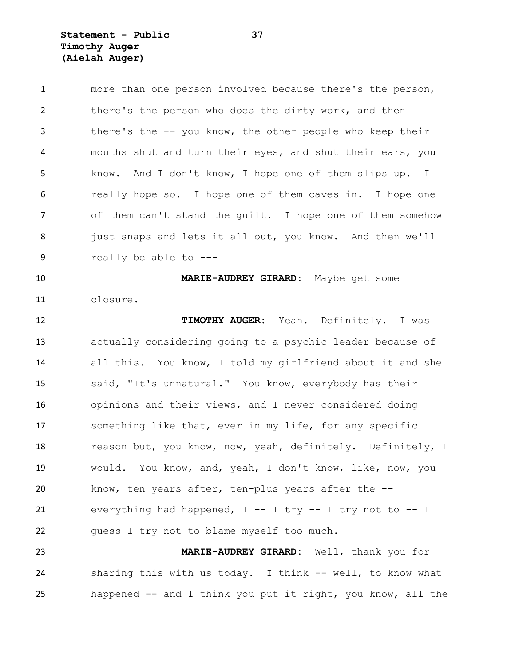**Statement - Public 37 Timothy Auger (Aielah Auger)**

 more than one person involved because there's the person, 2 there's the person who does the dirty work, and then there's the -- you know, the other people who keep their mouths shut and turn their eyes, and shut their ears, you know. And I don't know, I hope one of them slips up. I really hope so. I hope one of them caves in. I hope one of them can't stand the guilt. I hope one of them somehow 8 just snaps and lets it all out, you know. And then we'll really be able to --- **MARIE-AUDREY GIRARD:** Maybe get some closure. **TIMOTHY AUGER:** Yeah. Definitely. I was actually considering going to a psychic leader because of all this. You know, I told my girlfriend about it and she said, "It's unnatural." You know, everybody has their opinions and their views, and I never considered doing something like that, ever in my life, for any specific 18 reason but, you know, now, yeah, definitely. Definitely, I would. You know, and, yeah, I don't know, like, now, you know, ten years after, ten-plus years after the -- everything had happened, I -- I try -- I try not to -- I guess I try not to blame myself too much. **MARIE-AUDREY GIRARD:** Well, thank you for sharing this with us today. I think -- well, to know what

happened -- and I think you put it right, you know, all the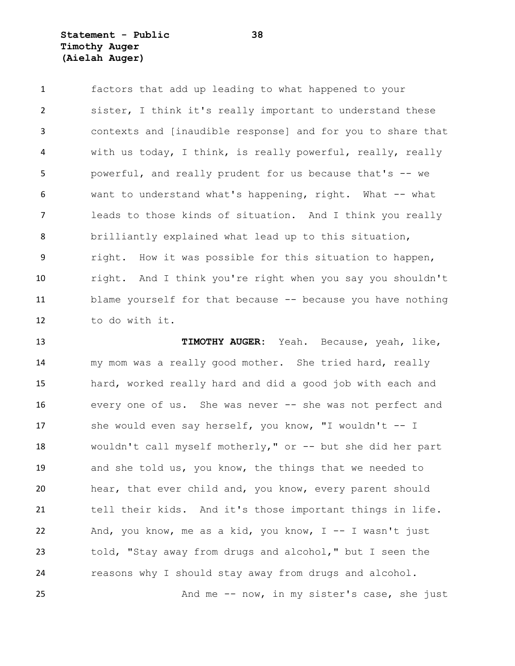## **Statement - Public 38 Timothy Auger (Aielah Auger)**

 factors that add up leading to what happened to your sister, I think it's really important to understand these contexts and [inaudible response] and for you to share that with us today, I think, is really powerful, really, really powerful, and really prudent for us because that's -- we want to understand what's happening, right. What -- what leads to those kinds of situation. And I think you really brilliantly explained what lead up to this situation, right. How it was possible for this situation to happen, right. And I think you're right when you say you shouldn't blame yourself for that because -- because you have nothing to do with it.

 **TIMOTHY AUGER:** Yeah. Because, yeah, like, my mom was a really good mother. She tried hard, really hard, worked really hard and did a good job with each and 16 every one of us. She was never -- she was not perfect and 17 she would even say herself, you know, "I wouldn't -- I wouldn't call myself motherly," or -- but she did her part and she told us, you know, the things that we needed to hear, that ever child and, you know, every parent should tell their kids. And it's those important things in life. And, you know, me as a kid, you know, I -- I wasn't just told, "Stay away from drugs and alcohol," but I seen the reasons why I should stay away from drugs and alcohol.

And me -- now, in my sister's case, she just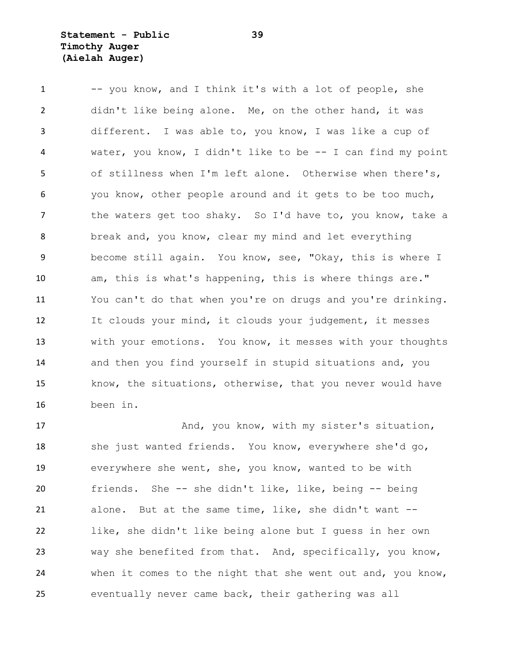## **Statement - Public 39 Timothy Auger (Aielah Auger)**

1 -- you know, and I think it's with a lot of people, she didn't like being alone. Me, on the other hand, it was different. I was able to, you know, I was like a cup of water, you know, I didn't like to be -- I can find my point of stillness when I'm left alone. Otherwise when there's, you know, other people around and it gets to be too much, 7 the waters get too shaky. So I'd have to, you know, take a break and, you know, clear my mind and let everything become still again. You know, see, "Okay, this is where I am, this is what's happening, this is where things are." You can't do that when you're on drugs and you're drinking. It clouds your mind, it clouds your judgement, it messes with your emotions. You know, it messes with your thoughts and then you find yourself in stupid situations and, you know, the situations, otherwise, that you never would have been in.

17 And, you know, with my sister's situation, 18 she just wanted friends. You know, everywhere she'd go, everywhere she went, she, you know, wanted to be with friends. She -- she didn't like, like, being -- being alone. But at the same time, like, she didn't want -- like, she didn't like being alone but I guess in her own way she benefited from that. And, specifically, you know, when it comes to the night that she went out and, you know, eventually never came back, their gathering was all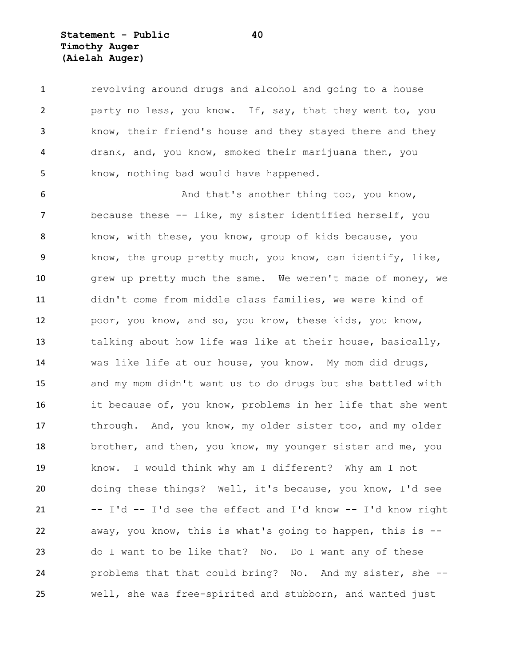**Statement - Public 40 Timothy Auger (Aielah Auger)**

 revolving around drugs and alcohol and going to a house party no less, you know. If, say, that they went to, you know, their friend's house and they stayed there and they drank, and, you know, smoked their marijuana then, you know, nothing bad would have happened.

6 And that's another thing too, you know, because these -- like, my sister identified herself, you know, with these, you know, group of kids because, you know, the group pretty much, you know, can identify, like, 10 grew up pretty much the same. We weren't made of money, we didn't come from middle class families, we were kind of poor, you know, and so, you know, these kids, you know, talking about how life was like at their house, basically, was like life at our house, you know. My mom did drugs, and my mom didn't want us to do drugs but she battled with it because of, you know, problems in her life that she went 17 through. And, you know, my older sister too, and my older 18 brother, and then, you know, my younger sister and me, you know. I would think why am I different? Why am I not doing these things? Well, it's because, you know, I'd see  $I'$ d  $I'$ d see the effect and  $I'$ d know  $I'$ d know right away, you know, this is what's going to happen, this is -- do I want to be like that? No. Do I want any of these problems that that could bring? No. And my sister, she -- well, she was free-spirited and stubborn, and wanted just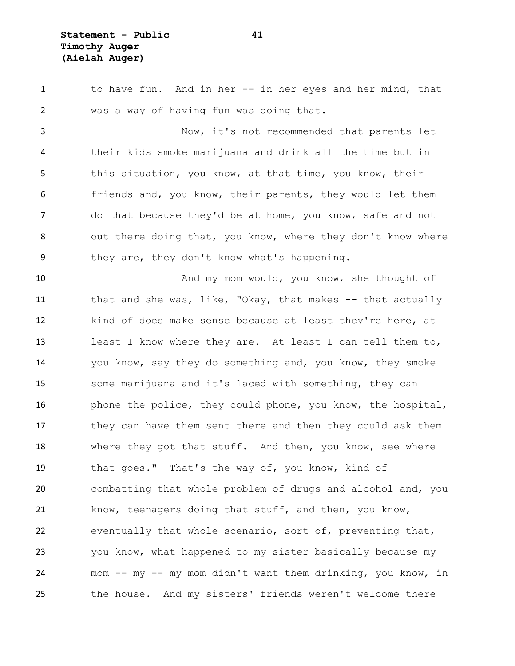**Statement - Public 41 Timothy Auger (Aielah Auger)**

 to have fun. And in her -- in her eyes and her mind, that was a way of having fun was doing that. Now, it's not recommended that parents let their kids smoke marijuana and drink all the time but in 5 this situation, you know, at that time, you know, their friends and, you know, their parents, they would let them do that because they'd be at home, you know, safe and not 8 out there doing that, you know, where they don't know where they are, they don't know what's happening. 10 And my mom would, you know, she thought of 11 that and she was, like, "Okay, that makes -- that actually kind of does make sense because at least they're here, at least I know where they are. At least I can tell them to, you know, say they do something and, you know, they smoke some marijuana and it's laced with something, they can 16 bhone the police, they could phone, you know, the hospital, they can have them sent there and then they could ask them 18 where they got that stuff. And then, you know, see where that goes." That's the way of, you know, kind of combatting that whole problem of drugs and alcohol and, you know, teenagers doing that stuff, and then, you know, eventually that whole scenario, sort of, preventing that, you know, what happened to my sister basically because my mom -- my -- my mom didn't want them drinking, you know, in the house. And my sisters' friends weren't welcome there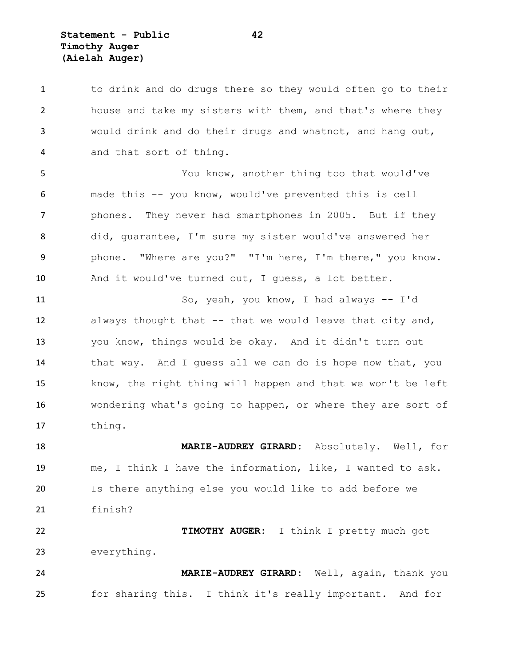**Statement - Public 42 Timothy Auger (Aielah Auger)**

1 to drink and do drugs there so they would often go to their house and take my sisters with them, and that's where they would drink and do their drugs and whatnot, and hang out, and that sort of thing.

 You know, another thing too that would've made this -- you know, would've prevented this is cell phones. They never had smartphones in 2005. But if they did, guarantee, I'm sure my sister would've answered her 9 phone. "Where are you?" "I'm here, I'm there," you know. And it would've turned out, I guess, a lot better.

 So, yeah, you know, I had always -- I'd always thought that -- that we would leave that city and, you know, things would be okay. And it didn't turn out that way. And I guess all we can do is hope now that, you know, the right thing will happen and that we won't be left wondering what's going to happen, or where they are sort of thing.

 **MARIE-AUDREY GIRARD:** Absolutely. Well, for me, I think I have the information, like, I wanted to ask. Is there anything else you would like to add before we finish?

 **TIMOTHY AUGER:** I think I pretty much got everything.

 **MARIE-AUDREY GIRARD:** Well, again, thank you for sharing this. I think it's really important. And for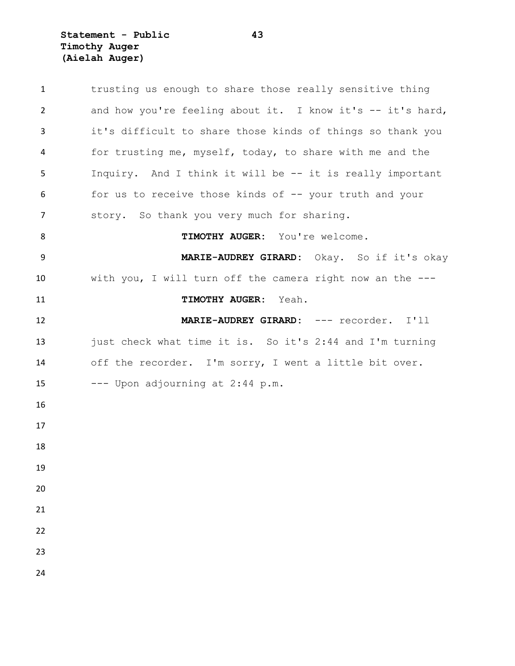**Statement - Public 43 Timothy Auger (Aielah Auger)**

| $\mathbf{1}$ | trusting us enough to share those really sensitive thing   |
|--------------|------------------------------------------------------------|
| 2            | and how you're feeling about it. I know it's -- it's hard, |
| 3            | it's difficult to share those kinds of things so thank you |
| 4            | for trusting me, myself, today, to share with me and the   |
| 5            | Inquiry. And I think it will be -- it is really important  |
| 6            | for us to receive those kinds of -- your truth and your    |
| 7            | story. So thank you very much for sharing.                 |
| 8            | TIMOTHY AUGER: You're welcome.                             |
| 9            | MARIE-AUDREY GIRARD: Okay. So if it's okay                 |
| 10           | with you, I will turn off the camera right now an the ---  |
| 11           | TIMOTHY AUGER: Yeah.                                       |
| 12           | MARIE-AUDREY GIRARD: --- recorder. I'll                    |
| 13           | just check what time it is. So it's 2:44 and I'm turning   |
| 14           | off the recorder. I'm sorry, I went a little bit over.     |
| 15           | --- Upon adjourning at 2:44 p.m.                           |
| 16           |                                                            |
| 17           |                                                            |
| 18           |                                                            |
|              |                                                            |
| 19           |                                                            |
| 20           |                                                            |
| 21           |                                                            |
| 22           |                                                            |
| 23           |                                                            |